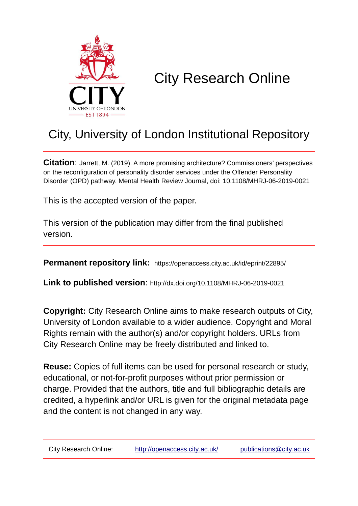

# City Research Online

# City, University of London Institutional Repository

**Citation**: Jarrett, M. (2019). A more promising architecture? Commissioners' perspectives on the reconfiguration of personality disorder services under the Offender Personality Disorder (OPD) pathway. Mental Health Review Journal, doi: 10.1108/MHRJ-06-2019-0021

This is the accepted version of the paper.

This version of the publication may differ from the final published version.

**Permanent repository link:** https://openaccess.city.ac.uk/id/eprint/22895/

**Link to published version**: http://dx.doi.org/10.1108/MHRJ-06-2019-0021

**Copyright:** City Research Online aims to make research outputs of City, University of London available to a wider audience. Copyright and Moral Rights remain with the author(s) and/or copyright holders. URLs from City Research Online may be freely distributed and linked to.

**Reuse:** Copies of full items can be used for personal research or study, educational, or not-for-profit purposes without prior permission or charge. Provided that the authors, title and full bibliographic details are credited, a hyperlink and/or URL is given for the original metadata page and the content is not changed in any way.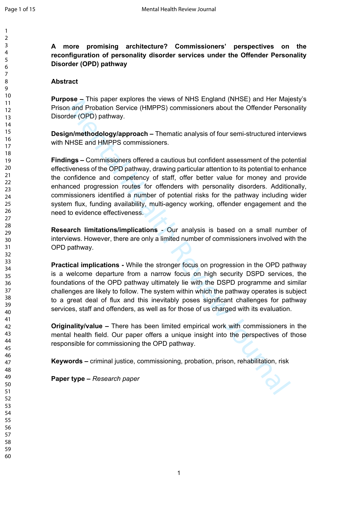**A more promising architecture? Commissioners' perspectives on the reconfiguration of personality disorder services under the Offender Personality Disorder (OPD) pathway**

#### **Abstract**

**Purpose –** This paper explores the views of NHS England (NHSE) and Her Majesty's Prison and Probation Service (HMPPS) commissioners about the Offender Personality Disorder (OPD) pathway.

**Design/methodology/approach –** Thematic analysis of four semi-structured interviews with NHSE and HMPPS commissioners.

Somer - this paper explores the views of NTS England (WITSE) and the Melapton and Probabion Service (HMPPS) commissioners about the Offender Perso<br>and Probabion Service (HMPPS) commissioners about the Offender Perso<br>and HM **Findings –** Commissioners offered a cautious but confident assessment of the potential effectiveness of the OPD pathway, drawing particular attention to its potential to enhance the confidence and competency of staff, offer better value for money and provide enhanced progression routes for offenders with personality disorders. Additionally, commissioners identified a number of potential risks for the pathway including wider system flux, funding availability, multi-agency working, offender engagement and the need to evidence effectiveness.

**Research limitations/implications** - Our analysis is based on a small number of interviews. However, there are only a limited number of commissioners involved with the OPD pathway.

**Practical implications -** While the stronger focus on progression in the OPD pathway is a welcome departure from a narrow focus on high security DSPD services, the foundations of the OPD pathway ultimately lie with the DSPD programme and similar challenges are likely to follow. The system within which the pathway operates is subject to a great deal of flux and this inevitably poses significant challenges for pathway services, staff and offenders, as well as for those of us charged with its evaluation.

**Originality/value –** There has been limited empirical work with commissioners in the mental health field. Our paper offers a unique insight into the perspectives of those responsible for commissioning the OPD pathway.

**Keywords –** criminal justice, commissioning, probation, prison, rehabilitation, risk

**Paper type –** *Research paper*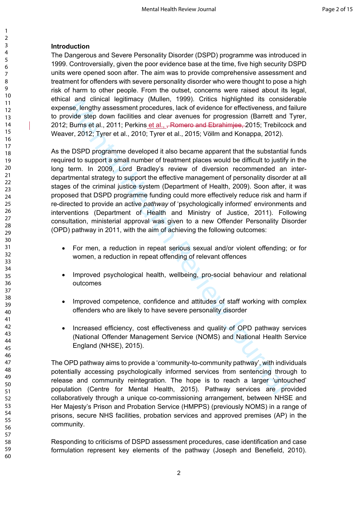### **Introduction**

The Dangerous and Severe Personality Disorder (DSPD) programme was introduced in 1999. Controversially, given the poor evidence base at the time, five high security DSPD units were opened soon after. The aim was to provide comprehensive assessment and treatment for offenders with severe personality disorder who were thought to pose a high risk of harm to other people. From the outset, concerns were raised about its legal, ethical and clinical legitimacy (Mullen, 1999). Critics highlighted its considerable expense, lengthy assessment procedures, lack of evidence for effectiveness, and failure to provide step down facilities and clear avenues for progression (Barrett and Tyrer, 2012; Burns et al., 2011; Perkins et al., , Romero and Ebrahimiee, 2015; Trebilcock and Weaver, 2012; Tyrer et al., 2010; Tyrer et al., 2015; Völlm and Konappa, 2012).

ar and cultural Heylumitaly (withen), 1999). Cutuss highlighted is consisted and central exists of ending the standard exists and fear a sense, lengthy assessment procedures, lack of evidence for effectiveness, and fivile As the DSPD programme developed it also became apparent that the substantial funds required to support a small number of treatment places would be difficult to justify in the long term. In 2009, Lord Bradley's review of diversion recommended an interdepartmental strategy to support the effective management of personality disorder at all stages of the criminal justice system (Department of Health, 2009). Soon after, it was proposed that DSPD programme funding could more effectively reduce risk and harm if re-directed to provide an active *pathway* of 'psychologically informed' environments and interventions (Department of Health and Ministry of Justice, 2011). Following consultation, ministerial approval was given to a new Offender Personality Disorder (OPD) pathway in 2011, with the aim of achieving the following outcomes:

- For men, a reduction in repeat serious sexual and/or violent offending; or for women, a reduction in repeat offending of relevant offences
- Improved psychological health, wellbeing, pro-social behaviour and relational outcomes
- Improved competence, confidence and attitudes of staff working with complex offenders who are likely to have severe personality disorder
- Increased efficiency, cost effectiveness and quality of OPD pathway services (National Offender Management Service (NOMS) and National Health Service England (NHSE), 2015).

The OPD pathway aims to provide a 'community-to-community pathway', with individuals potentially accessing psychologically informed services from sentencing through to release and community reintegration. The hope is to reach a larger 'untouched' population (Centre for Mental Health, 2015). Pathway services are provided collaboratively through a unique co-commissioning arrangement, between NHSE and Her Majesty's Prison and Probation Service (HMPPS) (previously NOMS) in a range of prisons, secure NHS facilities, probation services and approved premises (AP) in the community.

Responding to criticisms of DSPD assessment procedures, case identification and case formulation represent key elements of the pathway (Joseph and Benefield, 2010).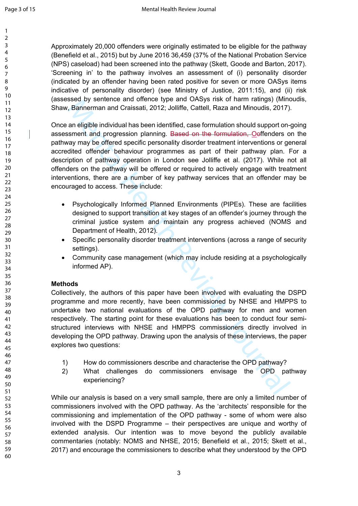Approximately 20,000 offenders were originally estimated to be eligible for the pathway (Benefield et al., 2015) but by June 2016 36,459 (37% of the National Probation Service (NPS) caseload) had been screened into the pathway (Skett, Goode and Barton, 2017). 'Screening in' to the pathway involves an assessment of (i) personality disorder (indicated by an offender having been rated positive for seven or more OASys items indicative of personality disorder) (see Ministry of Justice, 2011:15), and (ii) risk (assessed by sentence and offence type and OASys risk of harm ratings) (Minoudis, Shaw, Bannerman and Craissati, 2012; Jolliffe, Cattell, Raza and Minoudis, 2017).

Solution and other was the comparison of the Comparison of the and the comparison of the and the comparison and craissati, 2012; Joliffe, Cattell, Raza and Minoudis, 2017) an eligible individual has been identified, case f Once an eligible individual has been identified, case formulation should support on-going assessment and progression planning. Based on the formulation, Ooffenders on the pathway may be offered specific personality disorder treatment interventions or general accredited offender behaviour programmes as part of their pathway plan. For a description of pathway operation in London see Jolliffe et al. (2017). While not all offenders on the pathway will be offered or required to actively engage with treatment interventions, there are a number of key pathway services that an offender may be encouraged to access. These include:

- Psychologically Informed Planned Environments (PIPEs). These are facilities designed to support transition at key stages of an offender's journey through the criminal justice system and maintain any progress achieved (NOMS and Department of Health, 2012).
- Specific personality disorder treatment interventions (across a range of security settings).
- Community case management (which may include residing at a psychologically informed AP).

# **Methods**

Collectively, the authors of this paper have been involved with evaluating the DSPD programme and more recently, have been commissioned by NHSE and HMPPS to undertake two national evaluations of the OPD pathway for men and women respectively. The starting point for these evaluations has been to conduct four semistructured interviews with NHSE and HMPPS commissioners directly involved in developing the OPD pathway. Drawing upon the analysis of these interviews, the paper explores two questions:

- 1) How do commissioners describe and characterise the OPD pathway?
- 2) What challenges do commissioners envisage the OPD pathway experiencing?

While our analysis is based on a very small sample, there are only a limited number of commissioners involved with the OPD pathway. As the 'architects' responsible for the commissioning and implementation of the OPD pathway - some of whom were also involved with the DSPD Programme – their perspectives are unique and worthy of extended analysis. Our intention was to move beyond the publicly available commentaries (notably: NOMS and NHSE, 2015; Benefield et al., 2015; Skett et al., 2017) and encourage the commissioners to describe what they understood by the OPD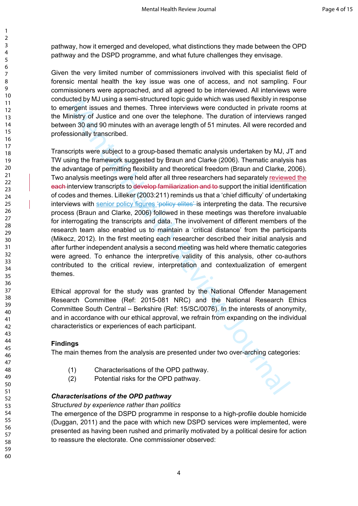pathway, how it emerged and developed, what distinctions they made between the OPD pathway and the DSPD programme, and what future challenges they envisage.

Given the very limited number of commissioners involved with this specialist field of forensic mental health the key issue was one of access, and not sampling. Four commissioners were approached, and all agreed to be interviewed. All interviews were conducted by MJ using a semi-structured topic guide which was used flexibly in response to emergent issues and themes. Three interviews were conducted in private rooms at the Ministry of Justice and one over the telephone. The duration of interviews ranged between 30 and 90 minutes with an average length of 51 minutes. All were recorded and professionally transcribed.

Cite of your susing selling the method to the constrained on the constrained on the constrained on the constrained in private room the constrained in private constrained in private constrained in private constrained in pri Transcripts were subject to a group-based thematic analysis undertaken by MJ, JT and TW using the framework suggested by Braun and Clarke (2006). Thematic analysis has the advantage of permitting flexibility and theoretical freedom (Braun and Clarke, 2006). Two analysis meetings were held after all three researchers had separately reviewed the each interview transcripts to develop familiarization and to support the initial identification of codes and themes. Lilleker (2003:211) reminds us that a 'chief difficulty' of undertaking interviews with senior policy figures 'policy elites' is interpreting the data. The recursive process (Braun and Clarke, 2006) followed in these meetings was therefore invaluable for interrogating the transcripts and data. The involvement of different members of the research team also enabled us to maintain a 'critical distance' from the participants (Mikecz, 2012). In the first meeting each researcher described their initial analysis and after further independent analysis a second meeting was held where thematic categories were agreed. To enhance the interpretive validity of this analysis, other co-authors contributed to the critical review, interpretation and contextualization of emergent themes.

Ethical approval for the study was granted by the National Offender Management Research Committee (Ref: 2015-081 NRC) and the National Research Ethics Committee South Central – Berkshire (Ref: 15/SC/0076). In the interests of anonymity, and in accordance with our ethical approval, we refrain from expanding on the individual characteristics or experiences of each participant.

# **Findings**

The main themes from the analysis are presented under two over-arching categories:

- (1) Characterisations of the OPD pathway.
- (2) Potential risks for the OPD pathway.

# *Characterisations of the OPD pathway*

#### *Structured by experience rather than politics*

The emergence of the DSPD programme in response to a high-profile double homicide (Duggan, 2011) and the pace with which new DSPD services were implemented, were presented as having been rushed and primarily motivated by a political desire for action to reassure the electorate. One commissioner observed:

60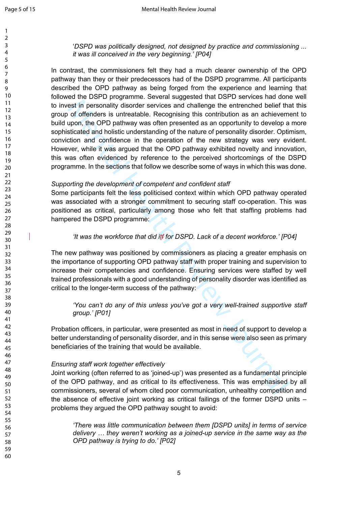'*DSPD was politically designed, not designed by practice and commissioning ... it was ill conceived in the very beginning.' [P04]* 

est in personality disorder services and challenge the entrenched belief that<br>on of drenders is untreatable. Recognising this contribution as an achievem<br>upon, the OPD pathway was often presented as an opportunity to devel In contrast, the commissioners felt they had a much clearer ownership of the OPD pathway than they or their predecessors had of the DSPD programme. All participants described the OPD pathway as being forged from the experience and learning that followed the DSPD programme. Several suggested that DSPD services had done well to invest in personality disorder services and challenge the entrenched belief that this group of offenders is untreatable. Recognising this contribution as an achievement to build upon, the OPD pathway was often presented as an opportunity to develop a more sophisticated and holistic understanding of the nature of personality disorder. Optimism, conviction and confidence in the operation of the new strategy was very evident. However, while it was argued that the OPD pathway exhibited novelty and innovation, this was often evidenced by reference to the perceived shortcomings of the DSPD programme. In the sections that follow we describe some of ways in which this was done.

#### *Supporting the development of competent and confident staff*

Some participants felt the less politicised context within which OPD pathway operated was associated with a stronger commitment to securing staff co-operation. This was positioned as critical, particularly among those who felt that staffing problems had hampered the DSPD programme:

#### *'It was the workforce that did itf for DSPD. Lack of a decent workforce.' [P04]*

The new pathway was positioned by commissioners as placing a greater emphasis on the importance of supporting OPD pathway staff with proper training and supervision to increase their competencies and confidence. Ensuring services were staffed by well trained professionals with a good understanding of personality disorder was identified as critical to the longer-term success of the pathway:

#### *'You can't do any of this unless you've got a very well-trained supportive staff group.' [P01]*

Probation officers, in particular, were presented as most in need of support to develop a better understanding of personality disorder, and in this sense were also seen as primary beneficiaries of the training that would be available.

#### *Ensuring staff work together effectively*

Joint working (often referred to as 'joined-up') was presented as a fundamental principle of the OPD pathway, and as critical to its effectiveness. This was emphasised by all commissioners, several of whom cited poor communication, unhealthy competition and the absence of effective joint working as critical failings of the former DSPD units – problems they argued the OPD pathway sought to avoid:

*'There was little communication between them [DSPD units] in terms of service delivery … they weren't working as a joined-up service in the same way as the OPD pathway is trying to do.' [P02]*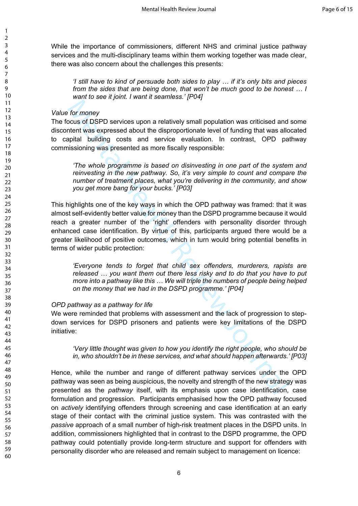While the importance of commissioners, different NHS and criminal justice pathway services and the multi-disciplinary teams within them working together was made clear, there was also concern about the challenges this presents:

*'I still have to kind of persuade both sides to play … if it's only bits and pieces from the sides that are being done, that won't be much good to be honest … I want to see it joint. I want it seamless.' [P04]*

#### *Value for money*

The focus of DSPD services upon a relatively small population was criticised and some discontent was expressed about the disproportionate level of funding that was allocated to capital building costs and service evaluation. In contrast, OPD pathway commissioning was presented as more fiscally responsible:

*'The whole programme is based on disinvesting in one part of the system and reinvesting in the new pathway. So, it's very simple to count and compare the number of treatment places, what you're delivering in the community, and show you get more bang for your bucks.' [P03]*

for more interesting and services and services and services and the measurement of the measurement was expressed about the disproportionate level of funding that was allo<br>point building costs and service evaluation. In con This highlights one of the key ways in which the OPD pathway was framed: that it was almost self-evidently better value for money than the DSPD programme because it would reach a greater number of the 'right' offenders with personality disorder through enhanced case identification. By virtue of this, participants argued there would be a greater likelihood of positive outcomes, which in turn would bring potential benefits in terms of wider public protection:

*'Everyone tends to forget that child sex offenders, murderers, rapists are released … you want them out there less risky and to do that you have to put more into a pathway like this … We will triple the numbers of people being helped on the money that we had in the DSPD programme.' [P04]*

#### *OPD pathway as a pathway for life*

We were reminded that problems with assessment and the lack of progression to stepdown services for DSPD prisoners and patients were key limitations of the DSPD initiative:

*'Very little thought was given to how you identify the right people, who should be in, who shouldn't be in these services, and what should happen afterwards.' [P03]*

Hence, while the number and range of different pathway services under the OPD pathway was seen as being auspicious, the novelty and strength of the new strategy was presented as the *pathway* itself, with its emphasis upon case identification, case formulation and progression.Participants emphasised how the OPD pathway focused on *actively* identifying offenders through screening and case identification at an early stage of their contact with the criminal justice system. This was contrasted with the *passive* approach of a small number of high-risk treatment places in the DSPD units. In addition, commissioners highlighted that in contrast to the DSPD programme, the OPD pathway could potentially provide long-term structure and support for offenders with personality disorder who are released and remain subject to management on licence:

60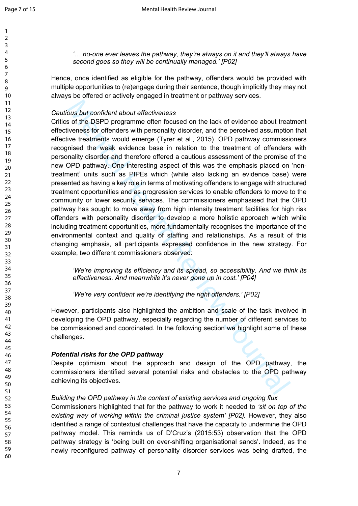*'… no-one ever leaves the pathway, they're always on it and they'll always have second goes so they will be continually managed.' [P02]*

Hence, once identified as eligible for the pathway, offenders would be provided with multiple opportunities to (re)engage during their sentence, though implicitly they may not always be offered or actively engaged in treatment or pathway services.

#### *Cautious but confident about effectiveness*

bous but confident about effectiveness<br>or the DSPD programme often focused on the lack of evidence about treat<br>vieness for offenders with personality disorder, and the perceived assumptio<br>vie treatments would emerge (Tyrer Critics of the DSPD programme often focused on the lack of evidence about treatment effectiveness for offenders with personality disorder, and the perceived assumption that effective treatments would emerge (Tyrer et al., 2015). OPD pathway commissioners recognised the weak evidence base in relation to the treatment of offenders with personality disorder and therefore offered a cautious assessment of the promise of the new OPD pathway. One interesting aspect of this was the emphasis placed on 'nontreatment' units such as PIPEs which (while also lacking an evidence base) were presented as having a key role in terms of motivating offenders to engage with structured treatment opportunities and as progression services to enable offenders to move to the community or lower security services. The commissioners emphasised that the OPD pathway has sought to move away from high intensity treatment facilities for high risk offenders with personality disorder to develop a more holistic approach which while including treatment opportunities, more fundamentally recognises the importance of the environmental context and quality of staffing and relationships. As a result of this changing emphasis, all participants expressed confidence in the new strategy. For example, two different commissioners observed:

*'We're improving its efficiency and its spread, so accessibility. And we think its effectiveness. And meanwhile it's never gone up in cost.' [P04]*

*'We're very confident we're identifying the right offenders.' [P02]*

However, participants also highlighted the ambition and scale of the task involved in developing the OPD pathway, especially regarding the number of different services to be commissioned and coordinated. In the following section we highlight some of these challenges.

#### *Potential risks for the OPD pathway*

Despite optimism about the approach and design of the OPD pathway, the commissioners identified several potential risks and obstacles to the OPD pathway achieving its objectives.

# *Building the OPD pathway in the context of existing services and ongoing flux*

Commissioners highlighted that for the pathway to work it needed to *'sit on top of the*  existing way of working within the criminal justice system' [P02]. However, they also identified a range of contextual challenges that have the capacity to undermine the OPD pathway model. This reminds us of D'Cruz's (2015:53) observation that the OPD pathway strategy is 'being built on ever-shifting organisational sands'. Indeed, as the newly reconfigured pathway of personality disorder services was being drafted, the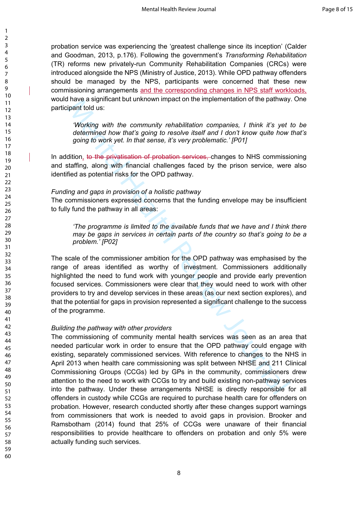probation service was experiencing the 'greatest challenge since its inception' (Calder and Goodman, 2013, p.176). Following the government's *Transforming Rehabilitation*  (TR) reforms new privately-run Community Rehabilitation Companies (CRCs) were introduced alongside the NPS (Ministry of Justice, 2013). While OPD pathway offenders should be managed by the NPS, participants were concerned that these new commissioning arrangements and the corresponding changes in NPS staff workloads, would have a significant but unknown impact on the implementation of the pathway. One participant told us:

*'Working with the community rehabilitation companies, I think it's yet to be determined how that's going to resolve itself and I don't know quite how that's going to work yet. In that sense, it's very problematic.' [P01]*

In addition, to the privatisation of probation services, changes to NHS commissioning and staffing, along with financial challenges faced by the prison service, were also identified as potential risks for the OPD pathway.

#### *Funding and gaps in provision of a holistic pathway*

The commissioners expressed concerns that the funding envelope may be insufficient to fully fund the pathway in all areas:

*'The programme is limited to the available funds that we have and I think there may be gaps in services in certain parts of the country so that's going to be a problem.' [P02]*

The scale of the commissioner ambition for the OPD pathway was emphasised by the range of areas identified as worthy of investment. Commissioners additionally highlighted the need to fund work with younger people and provide early prevention focused services. Commissioners were clear that they would need to work with other providers to try and develop services in these areas (as our next section explores), and that the potential for gaps in provision represented a significant challenge to the success of the programme.

#### *Building the pathway with other providers*

inave a signinuation durknown impact on the implementation of the patimax<br>inpart told us:<br>Working with the community rehabilitation companies, I think it's yet<br>determined how that's going to resolve itself and I don't know The commissioning of community mental health services was seen as an area that needed particular work in order to ensure that the OPD pathway could engage with existing, separately commissioned services. With reference to changes to the NHS in April 2013 when health care commissioning was split between NHSE and 211 Clinical Commissioning Groups (CCGs) led by GPs in the community, commissioners drew attention to the need to work with CCGs to try and build existing non-pathway services into the pathway. Under these arrangements NHSE is directly responsible for all offenders in custody while CCGs are required to purchase health care for offenders on probation. However, research conducted shortly after these changes support warnings from commissioners that work is needed to avoid gaps in provision. Brooker and Ramsbotham (2014) found that 25% of CCGs were unaware of their financial responsibilities to provide healthcare to offenders on probation and only 5% were actually funding such services.

58 59 60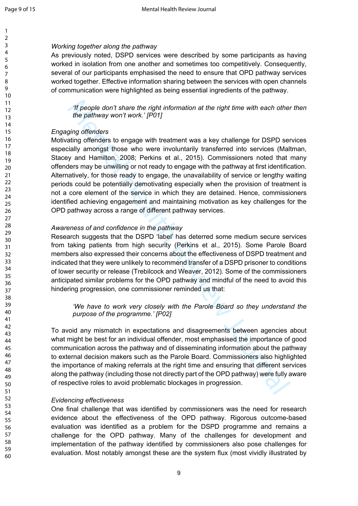#### *Working together along the pathway*

As previously noted, DSPD services were described by some participants as having worked in isolation from one another and sometimes too competitively. Consequently, several of our participants emphasised the need to ensure that OPD pathway services worked together. Effective information sharing between the services with open channels of communication were highlighted as being essential ingredients of the pathway.

*'If people don't share the right information at the right time with each other then the pathway won't work.' [P01]*

#### *Engaging offenders*

*Theople don't share the right information at the right time with each other*<br>the pathway won't work: [P01]<br>ging offenders<br>ating offenders to engage with treatment was a key challenge for DSPD set<br>ating offenders to engag Motivating offenders to engage with treatment was a key challenge for DSPD services especially amongst those who were involuntarily transferred into services (Maltman, Stacey and Hamilton, 2008; Perkins et al., 2015). Commissioners noted that many offenders may be unwilling or not ready to engage with the pathway at first identification. Alternatively, for those ready to engage, the unavailability of service or lengthy waiting periods could be potentially demotivating especially when the provision of treatment is not a core element of the service in which they are detained. Hence, commissioners identified achieving engagement and maintaining motivation as key challenges for the OPD pathway across a range of different pathway services.

#### *Awareness of and confidence in the pathway*

Research suggests that the DSPD 'label' has deterred some medium secure services from taking patients from high security (Perkins et al., 2015). Some Parole Board members also expressed their concerns about the effectiveness of DSPD treatment and indicated that they were unlikely to recommend transfer of a DSPD prisoner to conditions of lower security or release (Trebilcock and Weaver, 2012). Some of the commissioners anticipated similar problems for the OPD pathway and mindful of the need to avoid this hindering progression, one commissioner reminded us that:

*'We have to work very closely with the Parole Board so they understand the purpose of the programme.' [P02]*

To avoid any mismatch in expectations and disagreements between agencies about what might be best for an individual offender, most emphasised the importance of good communication across the pathway and of disseminating information about the pathway to external decision makers such as the Parole Board. Commissioners also highlighted the importance of making referrals at the right time and ensuring that different services along the pathway (including those not directly part of the OPD pathway) were fully aware of respective roles to avoid problematic blockages in progression.

#### *Evidencing effectiveness*

One final challenge that was identified by commissioners was the need for research evidence about the effectiveness of the OPD pathway. Rigorous outcome-based evaluation was identified as a problem for the DSPD programme and remains a challenge for the OPD pathway. Many of the challenges for development and implementation of the pathway identified by commissioners also pose challenges for evaluation. Most notably amongst these are the system flux (most vividly illustrated by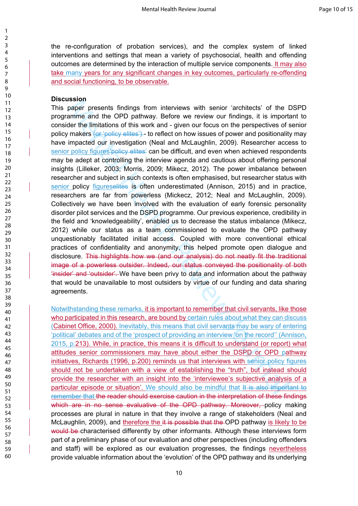the re-configuration of probation services), and the complex system of linked interventions and settings that mean a variety of psychosocial, health and offending outcomes are determined by the interaction of multiple service components. It may also take many years for any significant changes in key outcomes, particularly re-offending and social functioning, to be observable.

#### **Discussion**

**Example:**<br> **Example:**<br> **Example:**<br> **Example:**<br> **Example:**<br> **Example:**<br> **Example:**<br> **Example:**<br> **Example:**<br> **Example:**<br> **Example:**<br> **Example:**<br> **Example:**<br> **Example:**<br> **Example:**<br> **Example:**<br> **Example:**<br> **Example:**<br> **Examp** This paper presents findings from interviews with senior 'architects' of the DSPD programme and the OPD pathway. Before we review our findings, it is important to consider the limitations of this work and - given our focus on the perspectives of senior policy makers (or 'policy elites') - to reflect on how issues of power and positionality may have impacted our investigation (Neal and McLaughlin, 2009). Researcher access to senior policy figures *policy* elites' can be difficult, and even when achieved respondents may be adept at controlling the interview agenda and cautious about offering personal insights (Lilleker, 2003; Morris, 2009; Mikecz, 2012). The power imbalance between researcher and subject in such contexts is often emphasised, but researcher status with senior policy figureselites is often underestimated (Annison, 2015) and in practice, researchers are far from powerless (Mickecz, 2012; Neal and McLaughlin, 2009). Collectively we have been involved with the evaluation of early forensic personality disorder pilot services and the DSPD programme. Our previous experience, credibility in the field and 'knowledgeability', enabled us to decrease the status imbalance (Mikecz, 2012) while our status as a team commissioned to evaluate the OPD pathway unquestionably facilitated initial access. Coupled with more conventional ethical practices of confidentiality and anonymity, this helped promote open dialogue and disclosure. This highlights how we (and our analysis) do not neatly fit the traditional image of a powerless outsider. Indeed, our status conveyed the positionality of both 'insider' and 'outsider'. We have been privy to data and information about the pathway that would be unavailable to most outsiders by virtue of our funding and data sharing agreements.

Notwithstanding these remarks, it is important to remember that civil servants, like those who participated in this research, are bound by certain rules about what they can discuss (Cabinet Office, 2000). Inevitably, this means that civil servants may be wary of entering 'political' debates and of the 'prospect of providing an interview 'on the record'' (Annison, 2015, p.213). While, in practice, this means it is difficult to understand (or report) what attitudes senior commissioners may have about either the DSPD or OPD pathway initiatives, Richards (1996, p.200) reminds us that interviews with senior policy figures should not be undertaken with a view of establishing the "truth", but instead should provide the researcher with an insight into the 'interviewee's subjective analysis of a particular episode or situation'. We should also be mindful that It is also important to remember that the reader should exercise caution in the interpretation of these findings which are in no sense evaluative of the OPD pathway. Moreover, policy making processes are plural in nature in that they involve a range of stakeholders (Neal and McLaughlin, 2009), and therefore the it is possible that the OPD pathway is likely to be would be characterised differently by other informants. Although these interviews form part of a preliminary phase of our evaluation and other perspectives (including offenders and staff) will be explored as our evaluation progresses, the findings nevertheless provide valuable information about the 'evolution' of the OPD pathway and its underlying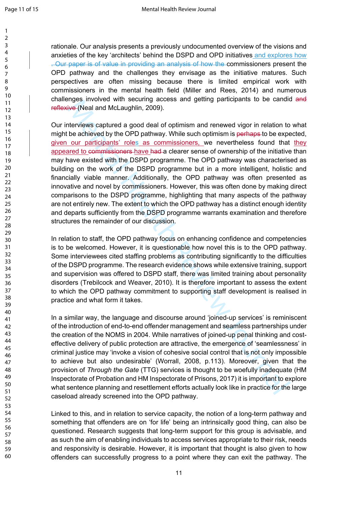rationale. Our analysis presents a previously undocumented overview of the visions and anxieties of the key 'architects' behind the DSPD and OPD initiatives and explores how . Our paper is of value in providing an analysis of how the commissioners present the OPD pathway and the challenges they envisage as the initiative matures. Such perspectives are often missing because there is limited empirical work with commissioners in the mental health field (Miller and Rees, 2014) and numerous challenges involved with securing access and getting participants to be candid and reflexive (Neal and McLaughlin, 2009).

ingus involved war isectaring access and geturing and periodic of the difference of Searchies and Mechanismia Source and the control be achieved by the OPD pathway. While such optimism is perhaps to be expected to computat Our interviews captured a good deal of optimism and renewed vigor in relation to what might be achieved by the OPD pathway. While such optimism is perhaps to be expected, given our participants' roles as commissioners, we nevertheless found that they appeared to commissioners have had a clearer sense of ownership of the initiative than may have existed with the DSPD programme. The OPD pathway was characterised as building on the work of the DSPD programme but in a more intelligent, holistic and financially viable manner. Additionally, the OPD pathway was often presented as innovative and novel by commissioners. However, this was often done by making direct comparisons to the DSPD programme, highlighting that many aspects of the pathway are not entirely new. The extent to which the OPD pathway has a distinct enough identity and departs sufficiently from the DSPD programme warrants examination and therefore structures the remainder of our discussion.

In relation to staff, the OPD pathway focus on enhancing confidence and competencies is to be welcomed. However, it is questionable how novel this is to the OPD pathway. Some interviewees cited staffing problems as contributing significantly to the difficulties of the DSPD programme. The research evidence shows while extensive training, support and supervision was offered to DSPD staff, there was limited training about personality disorders (Trebilcock and Weaver, 2010). It is therefore important to assess the extent to which the OPD pathway commitment to supporting staff development is realised in practice and what form it takes.

In a similar way, the language and discourse around 'joined-up services' is reminiscent of the introduction of end-to-end offender management and seamless partnerships under the creation of the NOMS in 2004. While narratives of joined-up penal thinking and costeffective delivery of public protection are attractive, the emergence of 'seamlessness' in criminal justice may 'invoke a vision of cohesive social control that is not only impossible to achieve but also undesirable' (Worrall, 2008, p.113). Moreover, given that the provision of *Through the Gate* (TTG) services is thought to be woefully inadequate (HM Inspectorate of Probation and HM Inspectorate of Prisons, 2017) it is important to explore what sentence planning and resettlement efforts actually look like in practice for the large caseload already screened into the OPD pathway.

Linked to this, and in relation to service capacity, the notion of a long-term pathway and something that offenders are on 'for life' being an intrinsically good thing, can also be questioned. Research suggests that long-term support for this group is advisable, and as such the aim of enabling individuals to access services appropriate to their risk, needs and responsivity is desirable. However, it is important that thought is also given to how offenders can successfully progress to a point where they can exit the pathway. The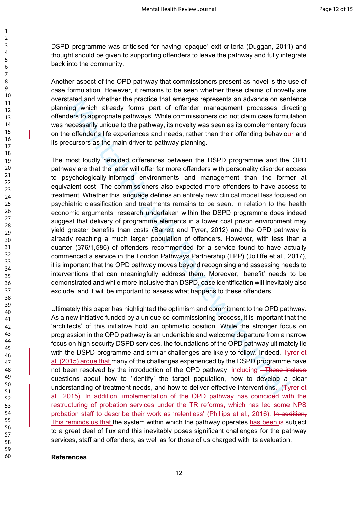DSPD programme was criticised for having 'opaque' exit criteria (Duggan, 2011) and thought should be given to supporting offenders to leave the pathway and fully integrate back into the community.

Another aspect of the OPD pathway that commissioners present as novel is the use of case formulation. However, it remains to be seen whether these claims of novelty are overstated and whether the practice that emerges represents an advance on sentence planning which already forms part of offender management processes directing offenders to appropriate pathways. While commissioners did not claim case formulation was necessarily unique to the pathway, its novelty was seen as its complementary focus on the offender's life experiences and needs, rather than their offending behaviour and its precursors as the main driver to pathway planning.

tated and wetter the plactic that the greates are alternative and the method of the specifies in the plactic strate of the pathway. While commissioners did not claim case formedessarily unique to the pathway. While commiss The most loudly heralded differences between the DSPD programme and the OPD pathway are that the latter will offer far more offenders with personality disorder access to psychologically-informed environments and management than the former at equivalent cost. The commissioners also expected more offenders to have access to treatment. Whether this language defines an entirely new clinical model less focused on psychiatric classification and treatments remains to be seen. In relation to the health economic arguments, research undertaken within the DSPD programme does indeed suggest that delivery of programme elements in a lower cost prison environment may yield greater benefits than costs (Barrett and Tyrer, 2012) and the OPD pathway is already reaching a much larger population of offenders. However, with less than a quarter (376/1,586) of offenders recommended for a service found to have actually commenced a service in the London Pathways Partnership (LPP) (Jolliffe et al., 2017), it is important that the OPD pathway moves beyond recognising and assessing needs to interventions that can meaningfully address them. Moreover, 'benefit' needs to be demonstrated and while more inclusive than DSPD, case identification will inevitably also exclude, and it will be important to assess what happens to these offenders.

Ultimately this paper has highlighted the optimism and commitment to the OPD pathway. As a new initiative funded by a unique co-commissioning process, it is important that the 'architects' of this initiative hold an optimistic position. While the stronger focus on progression in the OPD pathway is an undeniable and welcome departure from a narrow focus on high security DSPD services, the foundations of the OPD pathway ultimately lie with the DSPD programme and similar challenges are likely to follow. Indeed, Tyrer et al. (2015) argue that many of the challenges experienced by the DSPD programme have not been resolved by the introduction of the OPD pathway, including . These include questions about how to 'identify' the target population, how to develop a clear understanding of treatment needs, and how to deliver effective interventions. (Tyrer et al., 2015). In addition, implementation of the OPD pathway has coincided with the restructuring of probation services under the TR reforms, which has led some NPS probation staff to describe their work as 'relentless' (Phillips et al., 2016). In addition, This reminds us that the system within which the pathway operates has been is subject to a great deal of flux and this inevitably poses significant challenges for the pathway services, staff and offenders, as well as for those of us charged with its evaluation.

#### **References**

60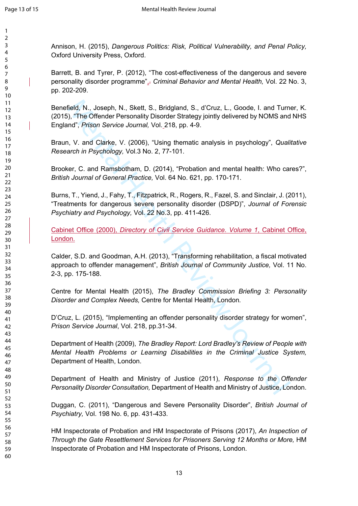Annison, H. (2015), *Dangerous Politics: Risk, Political Vulnerability, and Penal Policy,*  Oxford University Press, Oxford.

Barrett, B. and Tyrer, P. (2012), "The cost-effectiveness of the dangerous and severe personality disorder programme"<sub>1</sub>, *Criminal Behavior and Mental Health*, Vol. 22 No. 3, pp. 202-209.

field, N., Joseph, N., Skett, S., Bridgland, S., d'Cruz, L., Goode, I. and Tum<br>i), "The Offender Personality Disorder Strategy jointly delivered by NOMS and<br>ind", *Prison Service Journal*, Vol. 218, pp. 4-9.<br>N, V. and Clar Benefield, N., Joseph, N., Skett, S., Bridgland, S., d'Cruz, L., Goode, I. and Turner, K. (2015), "The Offender Personality Disorder Strategy jointly delivered by NOMS and NHS England", *Prison Service Journal,* Vol. 218, pp. 4-9.

Braun, V. and Clarke, V. (2006), "Using thematic analysis in psychology", *Qualitative Research in Psychology,* Vol.3 No. 2, 77-101.

Brooker, C. and Ramsbotham, D. (2014), "Probation and mental health: Who cares?", *British Journal of General Practice,* Vol. 64 No. 621, pp. 170-171.

Burns, T., Yiend, J., Fahy, T., Fitzpatrick, R., Rogers, R., Fazel, S. and Sinclair, J. (2011), "Treatments for dangerous severe personality disorder (DSPD)", *Journal of Forensic Psychiatry and Psychology,* Vol. 22 No.3, pp. 411-426.

Cabinet Office (2000), *Directory of Civil Service Guidance. Volume 1*, Cabinet Office, London.

Calder, S.D. and Goodman, A.H. (2013), "Transforming rehabilitation, a fiscal motivated approach to offender management", *British Journal of Community Justice,* Vol. 11 No. 2-3, pp. 175-188.

Centre for Mental Health (2015), *The Bradley Commission Briefing 3: Personality Disorder and Complex Needs,* Centre for Mental Health, London*.*

D'Cruz, L. (2015), "Implementing an offender personality disorder strategy for women", *Prison Service Journal*, Vol. 218, pp.31-34.

Department of Health (2009), *The Bradley Report: Lord Bradley's Review of People with Mental Health Problems or Learning Disabilities in the Criminal Justice System,*  Department of Health, London.

Department of Health and Ministry of Justice (2011), *Response to the Offender Personality Disorder Consultation,* Department of Health and Ministry of Justice, London.

Duggan, C. (2011), "Dangerous and Severe Personality Disorder", *British Journal of Psychiatry,* Vol. 198 No. 6, pp. 431-433.

HM Inspectorate of Probation and HM Inspectorate of Prisons (2017), *An Inspection of Through the Gate Resettlement Services for Prisoners Serving 12 Months or More, HM* Inspectorate of Probation and HM Inspectorate of Prisons, London.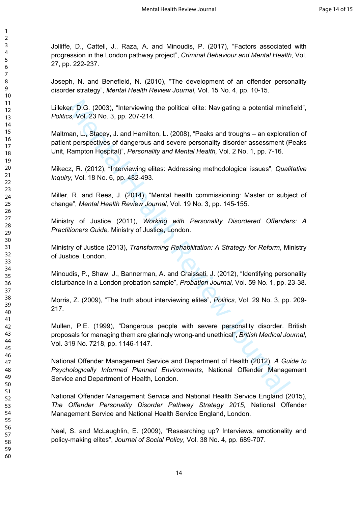Jolliffe, D., Cattell, J., Raza, A. and Minoudis, P. (2017), "Factors associated with progression in the London pathway project", *Criminal Behaviour and Mental Health,* Vol. 27, pp. 222-237.

Joseph, N. and Benefield, N. (2010), "The development of an offender personality disorder strategy", *Mental Health Review Journal,* Vol. 15 No. 4, pp. 10-15.

Lilleker, D.G. (2003), "Interviewing the political elite: Navigating a potential minefield", *Politics,* Vol. 23 No. 3, pp. 207-214.

Maltman, L., Stacey, J. and Hamilton, L. (2008), "Peaks and troughs – an exploration of patient perspectives of dangerous and severe personality disorder assessment (Peaks Unit, Rampton Hospital)", *Personality and Mental Health,* Vol. 2 No. 1, pp. 7-16.

Mikecz, R. (2012), "Interviewing elites: Addressing methodological issues", *Qualitative Inquiry,* Vol. 18 No. 6, pp. 482-493.

Miller, R. and Rees, J. (2014), "Mental health commissioning: Master or subject of change", *Mental Health Review Journal,* Vol. 19 No. 3, pp. 145-155.

Ministry of Justice (2011), *Working with Personality Disordered Offenders: A Practitioners Guide,* Ministry of Justice, London.

Ministry of Justice (2013), *Transforming Rehabilitation: A Strategy for Reform*, Ministry of Justice, London.

Minoudis, P., Shaw, J., Bannerman, A. and Craissati, J. (2012), "Identifying personality disturbance in a London probation sample", *Probation Journal,* Vol. 59 No. 1, pp. 23-38.

Morris, Z. (2009), "The truth about interviewing elites", *Politics,* Vol. 29 No. 3, pp. 209- 217.

er, D.G. (2003), "Interviewing the political elite: Navigating a potential mines, Vol. 23 No. 3, pp. 207-214.<br>
Man, L., Stacey, J. and Hamilton, L. (2008), "Peaks and troughs – an explorative respectives of dangerous and s Mullen, P.E. (1999), "Dangerous people with severe personality disorder. British proposals for managing them are glaringly wrong-and unethical", *British Medical Journal,*  Vol. 319 No. 7218, pp. 1146-1147.

National Offender Management Service and Department of Health (2012), *A Guide to Psychologically Informed Planned Environments,* National Offender Management Service and Department of Health, London.

National Offender Management Service and National Health Service England (2015), *The Offender Personality Disorder Pathway Strategy 2015,* National Offender Management Service and National Health Service England, London.

Neal, S. and McLaughlin, E. (2009), "Researching up? Interviews, emotionality and policy-making elites", *Journal of Social Policy,* Vol. 38 No. 4, pp. 689-707.